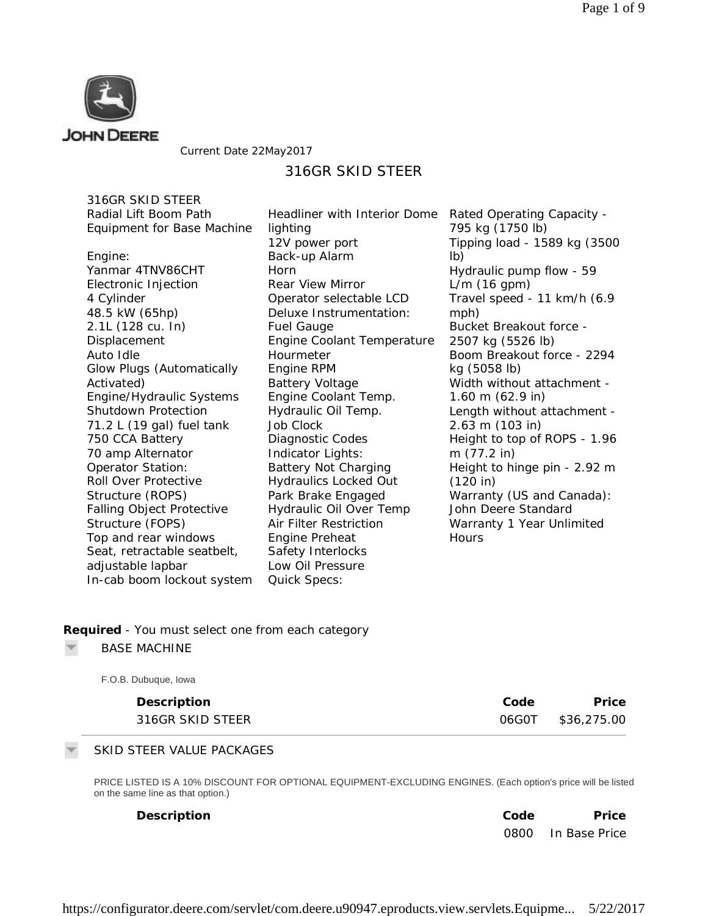

#### Current Date 22May2017

# 316GR SKID STEER

316GR SKID STEER Radial Lift Boom Path Equipment for Base Machine

Engine: Yanmar 4TNV86CHT Electronic Injection 4 Cylinder 48.5 kW (65hp) 2.1L (128 cu. In) **Displacement** Auto Idle Glow Plugs (Automatically Activated) Engine/Hydraulic Systems Shutdown Protection 71.2 L (19 gal) fuel tank 750 CCA Battery 70 amp Alternator Operator Station: Roll Over Protective Structure (ROPS) Falling Object Protective Structure (FOPS) Top and rear windows Seat, retractable seatbelt, adjustable lapbar In-cab boom lockout system Headliner with Interior Dome lighting 12V power port Back-up Alarm Horn Rear View Mirror Operator selectable LCD Deluxe Instrumentation: Fuel Gauge Engine Coolant Temperature Hourmeter Engine RPM Battery Voltage Engine Coolant Temp. Hydraulic Oil Temp. Job Clock Diagnostic Codes Indicator Lights: Battery Not Charging Hydraulics Locked Out Park Brake Engaged Hydraulic Oil Over Temp Air Filter Restriction Engine Preheat Safety Interlocks Low Oil Pressure Quick Specs:

Rated Operating Capacity - 795 kg (1750 lb) Tipping load - 1589 kg (3500 lb) Hydraulic pump flow - 59 L/m (16 gpm) Travel speed - 11 km/h (6.9 mph) Bucket Breakout force - 2507 kg (5526 lb) Boom Breakout force - 2294 kg (5058 lb) Width without attachment - 1.60 m (62.9 in) Length without attachment - 2.63 m (103 in) Height to top of ROPS - 1.96 m (77.2 in) Height to hinge pin - 2.92 m (120 in) Warranty (US and Canada): John Deere Standard Warranty 1 Year Unlimited **Hours** 

#### **Required** *- You must select one from each category*

BASE MACHINE

| F.O.B. Dubuque, Iowa |       |             |
|----------------------|-------|-------------|
| Description          | Code  | Price       |
| 316GR SKID STEER     | 06G0T | \$36,275.00 |

#### SKID STEER VALUE PACKAGES

PRICE LISTED IS A 10% DISCOUNT FOR OPTIONAL EQUIPMENT-EXCLUDING ENGINES. (Each option's price will be listed on the same line as that option.)

| Description | Code | Price              |
|-------------|------|--------------------|
|             |      | 0800 In Base Price |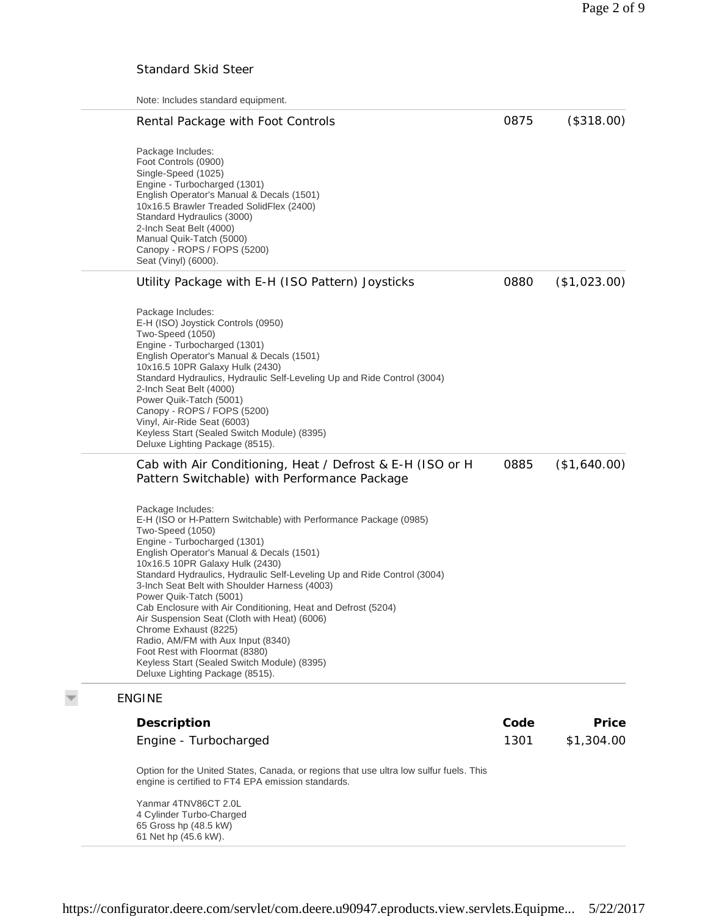### Standard Skid Steer

Note: Includes standard equipment.

| Rental Package with Foot Controls                                                                                                                                                                                                                                                                                                                                                                                                                                                                                                                                                                                                                                                    | 0875 | (\$318.00)   |
|--------------------------------------------------------------------------------------------------------------------------------------------------------------------------------------------------------------------------------------------------------------------------------------------------------------------------------------------------------------------------------------------------------------------------------------------------------------------------------------------------------------------------------------------------------------------------------------------------------------------------------------------------------------------------------------|------|--------------|
| Package Includes:<br>Foot Controls (0900)<br>Single-Speed (1025)<br>Engine - Turbocharged (1301)<br>English Operator's Manual & Decals (1501)<br>10x16.5 Brawler Treaded SolidFlex (2400)<br>Standard Hydraulics (3000)<br>2-Inch Seat Belt (4000)<br>Manual Quik-Tatch (5000)<br>Canopy - ROPS / FOPS (5200)<br>Seat (Vinyl) (6000).                                                                                                                                                                                                                                                                                                                                                |      |              |
| Utility Package with E-H (ISO Pattern) Joysticks                                                                                                                                                                                                                                                                                                                                                                                                                                                                                                                                                                                                                                     | 0880 | (\$1,023.00) |
| Package Includes:<br>E-H (ISO) Joystick Controls (0950)<br>Two-Speed (1050)<br>Engine - Turbocharged (1301)<br>English Operator's Manual & Decals (1501)<br>10x16.5 10PR Galaxy Hulk (2430)<br>Standard Hydraulics, Hydraulic Self-Leveling Up and Ride Control (3004)<br>2-Inch Seat Belt (4000)<br>Power Quik-Tatch (5001)<br>Canopy - ROPS / FOPS (5200)<br>Vinyl, Air-Ride Seat (6003)<br>Keyless Start (Sealed Switch Module) (8395)<br>Deluxe Lighting Package (8515).                                                                                                                                                                                                         |      |              |
| Cab with Air Conditioning, Heat / Defrost & E-H (ISO or H<br>Pattern Switchable) with Performance Package                                                                                                                                                                                                                                                                                                                                                                                                                                                                                                                                                                            | 0885 | (\$1,640.00) |
| Package Includes:<br>E-H (ISO or H-Pattern Switchable) with Performance Package (0985)<br>Two-Speed (1050)<br>Engine - Turbocharged (1301)<br>English Operator's Manual & Decals (1501)<br>10x16.5 10PR Galaxy Hulk (2430)<br>Standard Hydraulics, Hydraulic Self-Leveling Up and Ride Control (3004)<br>3-Inch Seat Belt with Shoulder Harness (4003)<br>Power Quik-Tatch (5001)<br>Cab Enclosure with Air Conditioning, Heat and Defrost (5204)<br>Air Suspension Seat (Cloth with Heat) (6006)<br>Chrome Exhaust (8225)<br>Radio, AM/FM with Aux Input (8340)<br>Foot Rest with Floormat (8380)<br>Keyless Start (Sealed Switch Module) (8395)<br>Deluxe Lighting Package (8515). |      |              |
| <b>ENGINE</b>                                                                                                                                                                                                                                                                                                                                                                                                                                                                                                                                                                                                                                                                        |      |              |
| Description                                                                                                                                                                                                                                                                                                                                                                                                                                                                                                                                                                                                                                                                          | Code | Price        |
| Engine - Turbocharged                                                                                                                                                                                                                                                                                                                                                                                                                                                                                                                                                                                                                                                                | 1301 | \$1,304.00   |
| Option for the United States, Canada, or regions that use ultra low sulfur fuels. This                                                                                                                                                                                                                                                                                                                                                                                                                                                                                                                                                                                               |      |              |

engine is certified to FT4 EPA emission standards.

Yanmar 4TNV86CT 2.0L 4 Cylinder Turbo-Charged 65 Gross hp (48.5 kW) 61 Net hp (45.6 kW).

 $\overline{\nabla}$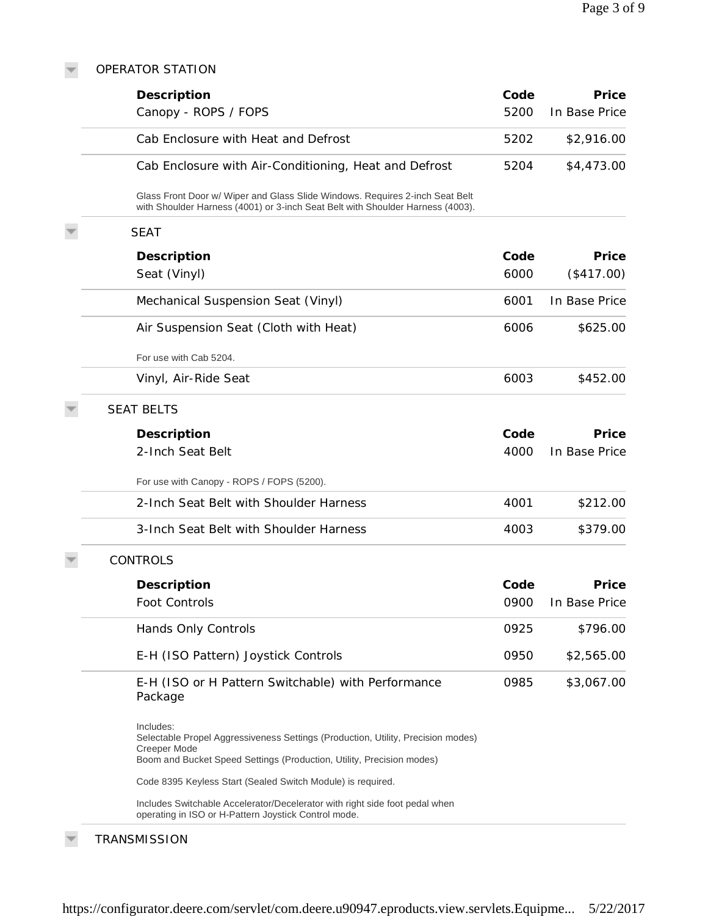### OPERATOR STATION

 $\overline{\nabla}$ 

| Description                                                                                                                                                                            | Code | Price         |
|----------------------------------------------------------------------------------------------------------------------------------------------------------------------------------------|------|---------------|
| Canopy - ROPS / FOPS                                                                                                                                                                   | 5200 | In Base Price |
| Cab Enclosure with Heat and Defrost                                                                                                                                                    | 5202 | \$2,916.00    |
| Cab Enclosure with Air-Conditioning, Heat and Defrost                                                                                                                                  | 5204 | \$4,473.00    |
| Glass Front Door w/ Wiper and Glass Slide Windows. Requires 2-inch Seat Belt<br>with Shoulder Harness (4001) or 3-inch Seat Belt with Shoulder Harness (4003).                         |      |               |
| <b>SEAT</b>                                                                                                                                                                            |      |               |
| Description                                                                                                                                                                            | Code | Price         |
| Seat (Vinyl)                                                                                                                                                                           | 6000 | (\$417.00)    |
| Mechanical Suspension Seat (Vinyl)                                                                                                                                                     | 6001 | In Base Price |
| Air Suspension Seat (Cloth with Heat)                                                                                                                                                  | 6006 | \$625.00      |
| For use with Cab 5204.                                                                                                                                                                 |      |               |
| Vinyl, Air-Ride Seat                                                                                                                                                                   | 6003 | \$452.00      |
| <b>SEAT BELTS</b>                                                                                                                                                                      |      |               |
| Description                                                                                                                                                                            | Code | Price         |
| 2-Inch Seat Belt                                                                                                                                                                       | 4000 | In Base Price |
| For use with Canopy - ROPS / FOPS (5200).                                                                                                                                              |      |               |
| 2-Inch Seat Belt with Shoulder Harness                                                                                                                                                 | 4001 | \$212.00      |
| 3-Inch Seat Belt with Shoulder Harness                                                                                                                                                 | 4003 | \$379.00      |
| <b>CONTROLS</b>                                                                                                                                                                        |      |               |
| Description                                                                                                                                                                            | Code | Price         |
| Foot Controls                                                                                                                                                                          | 0900 | In Base Price |
| Hands Only Controls                                                                                                                                                                    | 0925 | \$796.00      |
| E-H (ISO Pattern) Joystick Controls                                                                                                                                                    | 0950 | \$2,565.00    |
| E-H (ISO or H Pattern Switchable) with Performance<br>Package                                                                                                                          | 0985 | \$3,067.00    |
| Includes:<br>Selectable Propel Aggressiveness Settings (Production, Utility, Precision modes)<br>Creeper Mode<br>Boom and Bucket Speed Settings (Production, Utility, Precision modes) |      |               |
| Code 8395 Keyless Start (Sealed Switch Module) is required.                                                                                                                            |      |               |
| Includes Switchable Accelerator/Decelerator with right side foot pedal when<br>operating in ISO or H-Pattern Joystick Control mode.                                                    |      |               |

## **TRANSMISSION**

 $\overline{\nabla}$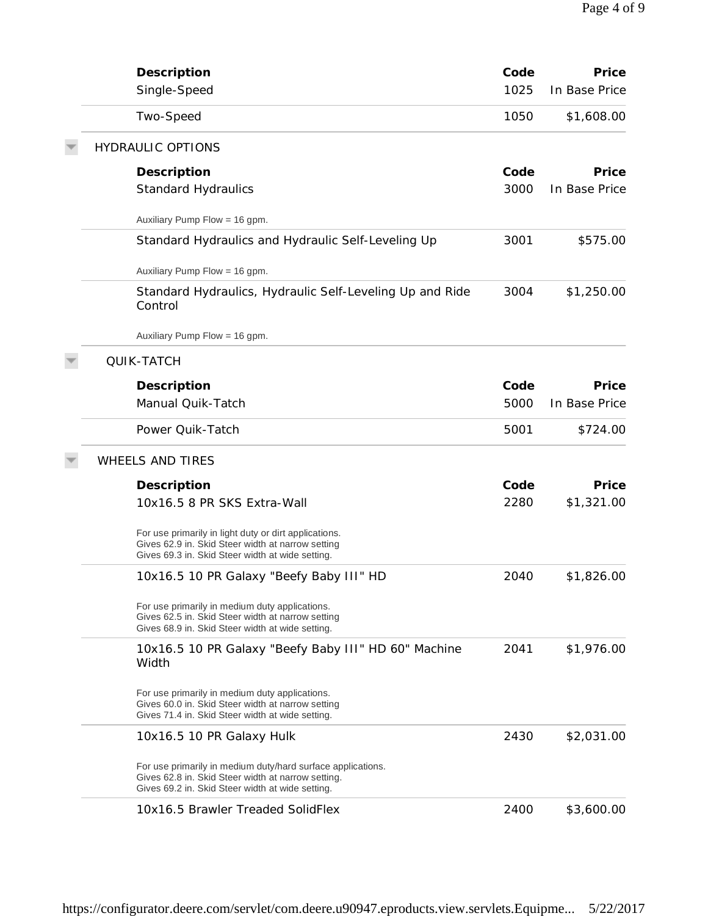| Description<br>Single-Speed                                                                                                                                           | Code<br>1025 | Price<br>In Base Price |
|-----------------------------------------------------------------------------------------------------------------------------------------------------------------------|--------------|------------------------|
| Two-Speed                                                                                                                                                             | 1050         | \$1,608.00             |
| <b>HYDRAULIC OPTIONS</b>                                                                                                                                              |              |                        |
| Description<br><b>Standard Hydraulics</b>                                                                                                                             | Code<br>3000 | Price<br>In Base Price |
| Auxiliary Pump Flow = 16 gpm.                                                                                                                                         |              |                        |
| Standard Hydraulics and Hydraulic Self-Leveling Up                                                                                                                    | 3001         | \$575.00               |
| Auxiliary Pump Flow = 16 gpm.                                                                                                                                         |              |                        |
| Standard Hydraulics, Hydraulic Self-Leveling Up and Ride<br>Control                                                                                                   | 3004         | \$1,250.00             |
| Auxiliary Pump Flow = 16 gpm.                                                                                                                                         |              |                        |
| QUIK-TATCH                                                                                                                                                            |              |                        |
| Description                                                                                                                                                           | Code         | Price                  |
| Manual Quik-Tatch                                                                                                                                                     | 5000         | In Base Price          |
| Power Quik-Tatch                                                                                                                                                      | 5001         | \$724.00               |
| <b>WHEELS AND TIRES</b>                                                                                                                                               |              |                        |
| Description                                                                                                                                                           | Code         | Price                  |
| 10x16.5 8 PR SKS Extra-Wall                                                                                                                                           | 2280         | \$1,321.00             |
| For use primarily in light duty or dirt applications.<br>Gives 62.9 in. Skid Steer width at narrow setting<br>Gives 69.3 in. Skid Steer width at wide setting.        |              |                        |
| 10x16.5 10 PR Galaxy "Beefy Baby III" HD                                                                                                                              | 2040         | \$1,826.00             |
| For use primarily in medium duty applications.<br>Gives 62.5 in. Skid Steer width at narrow setting<br>Gives 68.9 in. Skid Steer width at wide setting.               |              |                        |
| 10x16.5 10 PR Galaxy "Beefy Baby III" HD 60" Machine<br>Width                                                                                                         | 2041         | \$1,976.00             |
| For use primarily in medium duty applications.<br>Gives 60.0 in. Skid Steer width at narrow setting<br>Gives 71.4 in. Skid Steer width at wide setting.               |              |                        |
| 10x16.5 10 PR Galaxy Hulk                                                                                                                                             | 2430         | \$2,031.00             |
| For use primarily in medium duty/hard surface applications.<br>Gives 62.8 in. Skid Steer width at narrow setting.<br>Gives 69.2 in. Skid Steer width at wide setting. |              |                        |
| 10x16.5 Brawler Treaded SolidFlex                                                                                                                                     | 2400         | \$3,600.00             |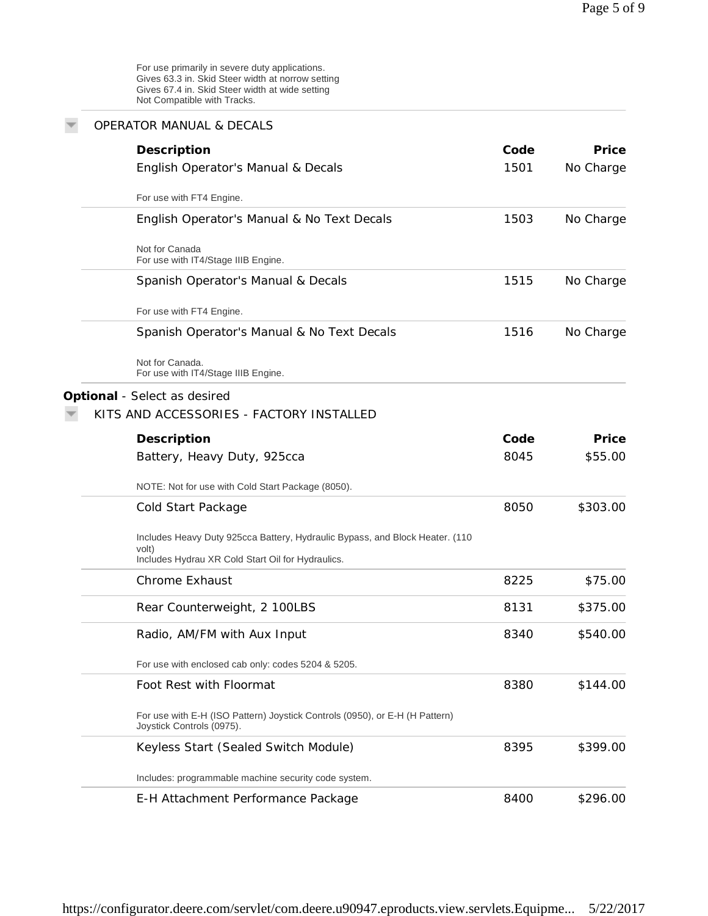| <b>OPERATOR MANUAL &amp; DECALS</b>                                                                      |      |           |
|----------------------------------------------------------------------------------------------------------|------|-----------|
| Description                                                                                              | Code | Price     |
| English Operator's Manual & Decals                                                                       | 1501 | No Charge |
| For use with FT4 Engine.                                                                                 |      |           |
| English Operator's Manual & No Text Decals                                                               | 1503 | No Charge |
| Not for Canada<br>For use with IT4/Stage IIIB Engine.                                                    |      |           |
| Spanish Operator's Manual & Decals                                                                       | 1515 | No Charge |
| For use with FT4 Engine.                                                                                 |      |           |
| Spanish Operator's Manual & No Text Decals                                                               | 1516 | No Charge |
| Not for Canada.<br>For use with IT4/Stage IIIB Engine.                                                   |      |           |
| Optional - Select as desired                                                                             |      |           |
| KITS AND ACCESSORIES - FACTORY INSTALLED                                                                 |      |           |
| Description                                                                                              | Code | Price     |
| Battery, Heavy Duty, 925cca                                                                              | 8045 | \$55.00   |
| NOTE: Not for use with Cold Start Package (8050).                                                        |      |           |
| Cold Start Package                                                                                       | 8050 | \$303.00  |
| Includes Heavy Duty 925cca Battery, Hydraulic Bypass, and Block Heater. (110<br>volt)                    |      |           |
| Includes Hydrau XR Cold Start Oil for Hydraulics.                                                        |      |           |
| <b>Chrome Exhaust</b>                                                                                    | 8225 | \$75.00   |
| Rear Counterweight, 2 100LBS                                                                             | 8131 | \$375.00  |
| Radio, AM/FM with Aux Input                                                                              | 8340 | \$540.00  |
| For use with enclosed cab only: codes 5204 & 5205.                                                       |      |           |
| Foot Rest with Floormat                                                                                  | 8380 | \$144.00  |
| For use with E-H (ISO Pattern) Joystick Controls (0950), or E-H (H Pattern)<br>Joystick Controls (0975). |      |           |
| Keyless Start (Sealed Switch Module)                                                                     | 8395 | \$399.00  |
| Includes: programmable machine security code system.                                                     |      |           |
| E-H Attachment Performance Package                                                                       | 8400 | \$296.00  |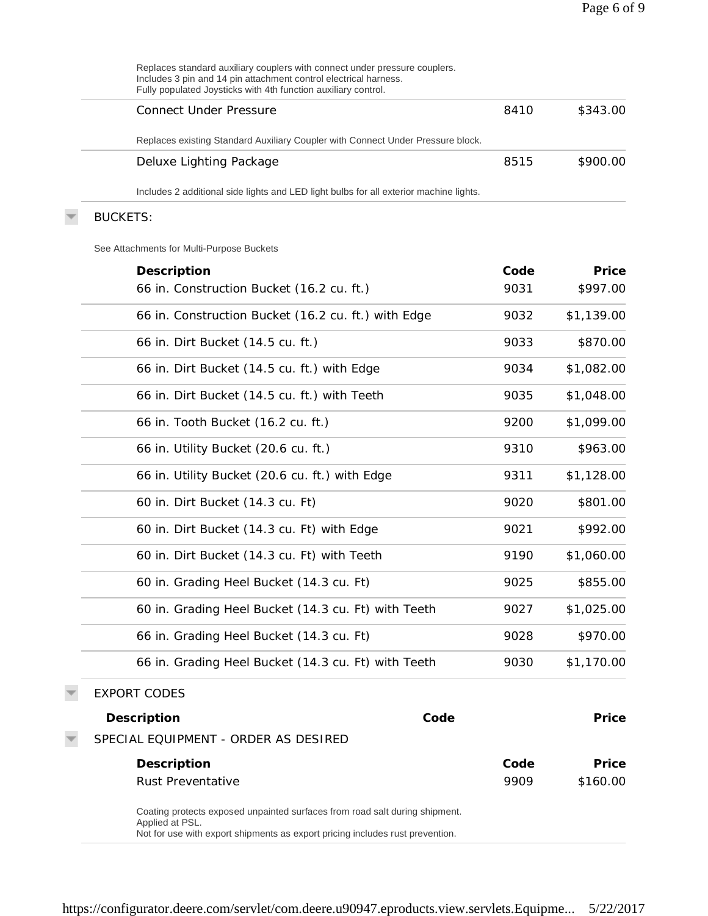| Replaces standard auxiliary couplers with connect under pressure couplers.<br>Includes 3 pin and 14 pin attachment control electrical harness.<br>Fully populated Joysticks with 4th function auxiliary control. |      |            |
|------------------------------------------------------------------------------------------------------------------------------------------------------------------------------------------------------------------|------|------------|
| <b>Connect Under Pressure</b>                                                                                                                                                                                    | 8410 | \$343.00   |
| Replaces existing Standard Auxiliary Coupler with Connect Under Pressure block.                                                                                                                                  |      |            |
| Deluxe Lighting Package                                                                                                                                                                                          | 8515 | \$900.00   |
| Includes 2 additional side lights and LED light bulbs for all exterior machine lights.                                                                                                                           |      |            |
| <b>BUCKETS:</b>                                                                                                                                                                                                  |      |            |
| See Attachments for Multi-Purpose Buckets                                                                                                                                                                        |      |            |
| Description                                                                                                                                                                                                      | Code | Price      |
| 66 in. Construction Bucket (16.2 cu. ft.)                                                                                                                                                                        | 9031 | \$997.00   |
| 66 in. Construction Bucket (16.2 cu. ft.) with Edge                                                                                                                                                              | 9032 | \$1,139.00 |
| 66 in. Dirt Bucket (14.5 cu. ft.)                                                                                                                                                                                | 9033 | \$870.00   |
| 66 in. Dirt Bucket (14.5 cu. ft.) with Edge                                                                                                                                                                      | 9034 | \$1,082.00 |
| 66 in. Dirt Bucket (14.5 cu. ft.) with Teeth                                                                                                                                                                     | 9035 | \$1,048.00 |
| 66 in. Tooth Bucket (16.2 cu. ft.)                                                                                                                                                                               | 9200 | \$1,099.00 |
| 66 in. Utility Bucket (20.6 cu. ft.)                                                                                                                                                                             | 9310 | \$963.00   |
| 66 in. Utility Bucket (20.6 cu. ft.) with Edge                                                                                                                                                                   | 9311 | \$1,128.00 |
| 60 in. Dirt Bucket (14.3 cu. Ft)                                                                                                                                                                                 | 9020 | \$801.00   |
| 60 in. Dirt Bucket (14.3 cu. Ft) with Edge                                                                                                                                                                       | 9021 | \$992.00   |
| 60 in. Dirt Bucket (14.3 cu. Ft) with Teeth                                                                                                                                                                      | 9190 | \$1,060.00 |
| 60 in. Grading Heel Bucket (14.3 cu. Ft)                                                                                                                                                                         | 9025 | \$855.00   |
| 60 in. Grading Heel Bucket (14.3 cu. Ft) with Teeth                                                                                                                                                              | 9027 | \$1,025.00 |
| 66 in. Grading Heel Bucket (14.3 cu. Ft)                                                                                                                                                                         | 9028 | \$970.00   |
| 66 in. Grading Heel Bucket (14.3 cu. Ft) with Teeth                                                                                                                                                              | 9030 | \$1,170.00 |
| <b>EXPORT CODES</b>                                                                                                                                                                                              |      |            |
| Code<br>Description                                                                                                                                                                                              |      | Price      |
| SPECIAL EQUIPMENT - ORDER AS DESIRED                                                                                                                                                                             |      |            |
| Description                                                                                                                                                                                                      | Code | Price      |
| Rust Preventative                                                                                                                                                                                                | 9909 | \$160.00   |
| Coating protects exposed unpainted surfaces from road salt during shipment.<br>Applied at PSL.<br>Not for use with export shipments as export pricing includes rust prevention.                                  |      |            |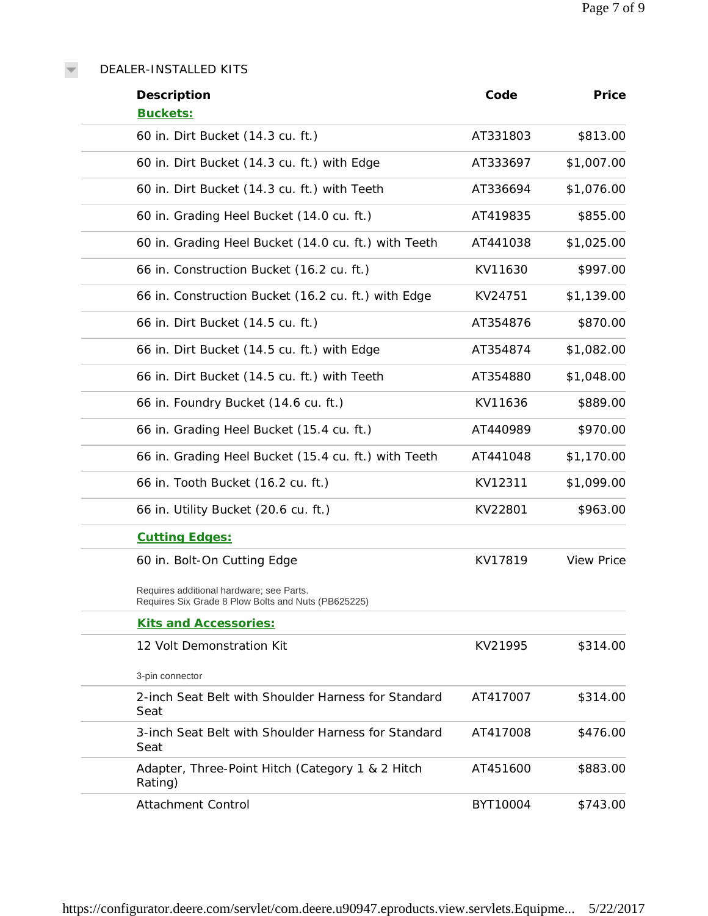DEALER-INSTALLED KITS

 $\overline{\mathbf{v}}$ 

| Description                                                                                     | Code     | Price             |
|-------------------------------------------------------------------------------------------------|----------|-------------------|
| Buckets:                                                                                        |          |                   |
| 60 in. Dirt Bucket (14.3 cu. ft.)                                                               | AT331803 | \$813.00          |
| 60 in. Dirt Bucket (14.3 cu. ft.) with Edge                                                     | AT333697 | \$1,007.00        |
| 60 in. Dirt Bucket (14.3 cu. ft.) with Teeth                                                    | AT336694 | \$1,076.00        |
| 60 in. Grading Heel Bucket (14.0 cu. ft.)                                                       | AT419835 | \$855.00          |
| 60 in. Grading Heel Bucket (14.0 cu. ft.) with Teeth                                            | AT441038 | \$1,025.00        |
| 66 in. Construction Bucket (16.2 cu. ft.)                                                       | KV11630  | \$997.00          |
| 66 in. Construction Bucket (16.2 cu. ft.) with Edge                                             | KV24751  | \$1,139.00        |
| 66 in. Dirt Bucket (14.5 cu. ft.)                                                               | AT354876 | \$870.00          |
| 66 in. Dirt Bucket (14.5 cu. ft.) with Edge                                                     | AT354874 | \$1,082.00        |
| 66 in. Dirt Bucket (14.5 cu. ft.) with Teeth                                                    | AT354880 | \$1,048.00        |
| 66 in. Foundry Bucket (14.6 cu. ft.)                                                            | KV11636  | \$889.00          |
| 66 in. Grading Heel Bucket (15.4 cu. ft.)                                                       | AT440989 | \$970.00          |
| 66 in. Grading Heel Bucket (15.4 cu. ft.) with Teeth                                            | AT441048 | \$1,170.00        |
| 66 in. Tooth Bucket (16.2 cu. ft.)                                                              | KV12311  | \$1,099.00        |
| 66 in. Utility Bucket (20.6 cu. ft.)                                                            | KV22801  | \$963.00          |
| <b>Cutting Edges:</b>                                                                           |          |                   |
| 60 in. Bolt-On Cutting Edge                                                                     | KV17819  | <b>View Price</b> |
| Requires additional hardware; see Parts.<br>Requires Six Grade 8 Plow Bolts and Nuts (PB625225) |          |                   |
| <b>Kits and Accessories:</b>                                                                    |          |                   |
| 12 Volt Demonstration Kit                                                                       | KV21995  | \$314.00          |
| 3-pin connector                                                                                 |          |                   |
| 2-inch Seat Belt with Shoulder Harness for Standard<br>Seat                                     | AT417007 | \$314.00          |
| 3-inch Seat Belt with Shoulder Harness for Standard<br>Seat                                     | AT417008 | \$476.00          |
| Adapter, Three-Point Hitch (Category 1 & 2 Hitch<br>Rating)                                     | AT451600 | \$883.00          |
| <b>Attachment Control</b>                                                                       | BYT10004 | \$743.00          |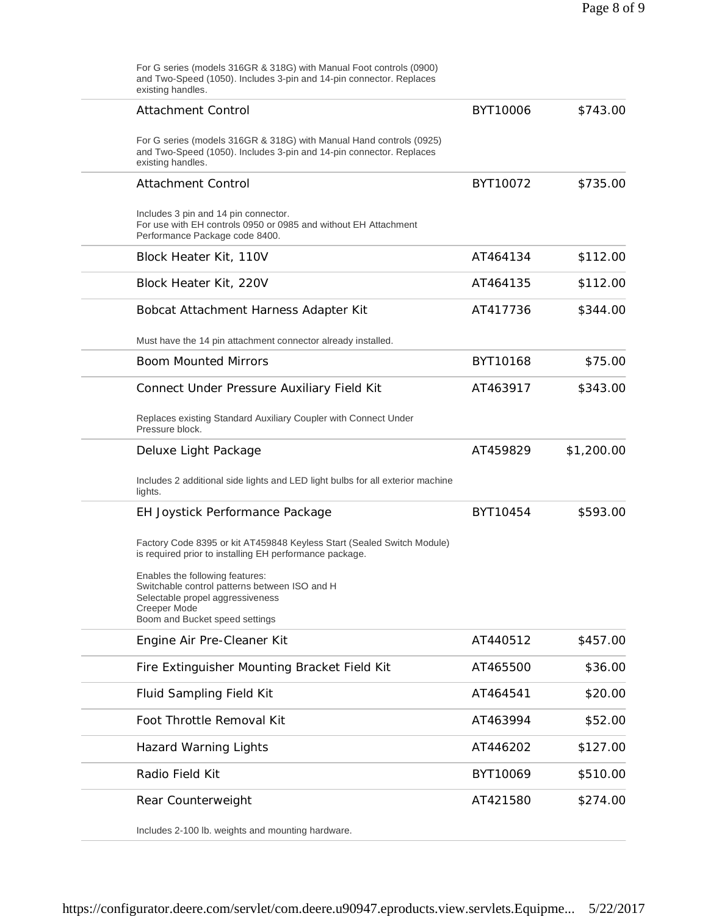For G series (models 316GR & 318G) with Manual Foot controls (0900) and Two-Speed (1050). Includes 3-pin and 14-pin connector. Replaces existing handles. Attachment Control For G series (models 316GR & 318G) with Manual Hand controls (0925) and Two-Speed (1050). Includes 3-pin and 14-pin connector. Replaces existing handles. BYT10006 \$743.00 Attachment Control Includes 3 pin and 14 pin connector. For use with EH controls 0950 or 0985 and without EH Attachment Performance Package code 8400. BYT10072 \$735.00 Block Heater Kit, 110V **AT464134** \$112.00 Block Heater Kit, 220V **AT464135** \$112.00 Bobcat Attachment Harness Adapter Kit Must have the 14 pin attachment connector already installed. AT417736 \$344.00 Boom Mounted Mirrors and BYT10168 \$75.00 Connect Under Pressure Auxiliary Field Kit Replaces existing Standard Auxiliary Coupler with Connect Under Pressure block. AT463917 \$343.00 Deluxe Light Package Includes 2 additional side lights and LED light bulbs for all exterior machine lights. AT459829 \$1,200.00 EH Joystick Performance Package Factory Code 8395 or kit AT459848 Keyless Start (Sealed Switch Module) is required prior to installing EH performance package. Enables the following features: Switchable control patterns between ISO and H Selectable propel aggressiveness Creeper Mode Boom and Bucket speed settings BYT10454 \$593.00 Engine Air Pre-Cleaner Kit AT440512 \$457.00 Fire Extinguisher Mounting Bracket Field Kit **AT465500** \$36.00 Fluid Sampling Field Kit **AT464541** \$20.00 Foot Throttle Removal Kit AT463994 \$52.00 Hazard Warning Lights AT446202 \$127.00 Radio Field Kit **BYT10069** \$510.00 Rear Counterweight Includes 2-100 lb. weights and mounting hardware. AT421580 \$274.00